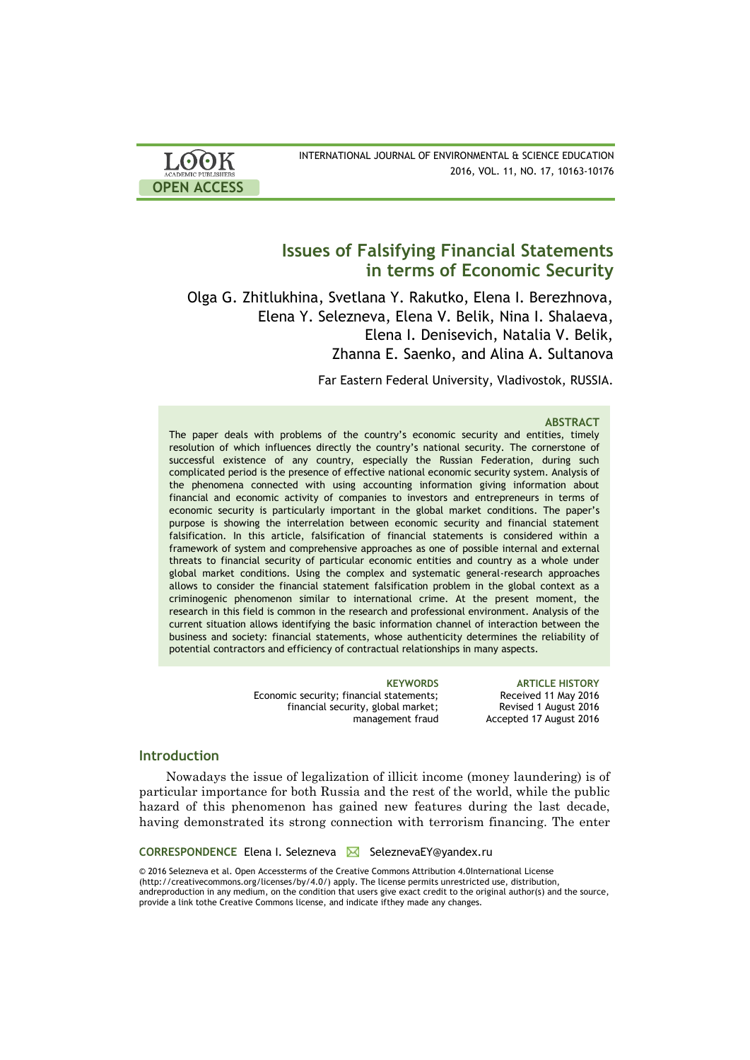| <b>LOOK</b>                | INTERNATIONAL JOURNAL OF ENVIRONMENTAL & SCIENCE EDUCATION |
|----------------------------|------------------------------------------------------------|
| <b>ACADEMIC PUBLISHERS</b> | 2016, VOL. 11, NO. 17, 10163-10176                         |
| <b>OPEN ACCESS</b>         |                                                            |

# **Issues of Falsifying Financial Statements in terms of Economic Security**

Olga G. Zhitlukhina, Svetlana Y. Rakutko, Elena I. Berezhnova, Elena Y. Selezneva, Elena V. Belik, Nina I. Shalaeva, Elena I. Denisevich, Natalia V. Belik, Zhanna E. Saenko, and Alina A. Sultanova

Far Eastern Federal University, Vladivostok, RUSSIA.

### **ABSTRACT**

The paper deals with problems of the country's economic security and entities, timely resolution of which influences directly the country's national security. The cornerstone of successful existence of any country, especially the Russian Federation, during such complicated period is the presence of effective national economic security system. Analysis of the phenomena connected with using accounting information giving information about financial and economic activity of companies to investors and entrepreneurs in terms of economic security is particularly important in the global market conditions. The paper's purpose is showing the interrelation between economic security and financial statement falsification. In this article, falsification of financial statements is considered within a framework of system and comprehensive approaches as one of possible internal and external threats to financial security of particular economic entities and country as a whole under global market conditions. Using the complex and systematic general-research approaches allows to consider the financial statement falsification problem in the global context as a criminogenic phenomenon similar to international crime. At the present moment, the research in this field is common in the research and professional environment. Analysis of the current situation allows identifying the basic information channel of interaction between the business and society: financial statements, whose authenticity determines the reliability of potential contractors and efficiency of contractual relationships in many aspects.

> Economic security; financial statements; financial security, global market; management fraud

**KEYWORDS ARTICLE HISTORY** Received 11 May 2016 Revised 1 August 2016 Accepted 17 August 2016

### **Introduction**

Nowadays the issue of legalization of illicit income (money laundering) is of particular importance for both Russia and the rest of the world, while the public hazard of this phenomenon has gained new features during the last decade, having demonstrated its strong connection with terrorism financing. The enter

**CORRESPONDENCE** Elena I. Selezneva **△** SeleznevaEY@yandex.ru

© 2016 Selezneva et al. Open Accessterms of the Creative Commons Attribution 4.0International License (http://creativecommons.org/licenses/by/4.0/) apply. The license permits unrestricted use, distribution, andreproduction in any medium, on the condition that users give exact credit to the original author(s) and the source, provide a link tothe Creative Commons license, and indicate ifthey made any changes.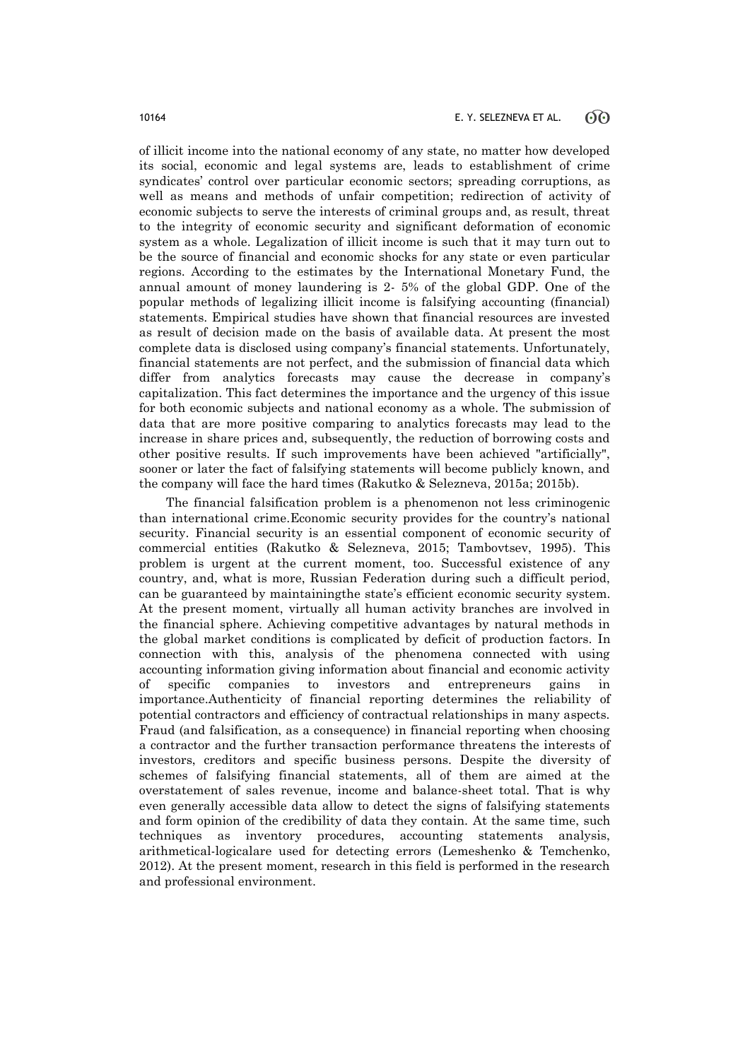of illicit income into the national economy of any state, no matter how developed its social, economic and legal systems are, leads to establishment of crime syndicates' control over particular economic sectors; spreading corruptions, as well as means and methods of unfair competition; redirection of activity of economic subjects to serve the interests of criminal groups and, as result, threat to the integrity of economic security and significant deformation of economic system as a whole. Legalization of illicit income is such that it may turn out to be the source of financial and economic shocks for any state or even particular regions. According to the estimates by the International Monetary Fund, the annual amount of money laundering is 2- 5% of the global GDP. One of the popular methods of legalizing illicit income is falsifying accounting (financial) statements. Empirical studies have shown that financial resources are invested as result of decision made on the basis of available data. At present the most complete data is disclosed using company's financial statements. Unfortunately, financial statements are not perfect, and the submission of financial data which differ from analytics forecasts may cause the decrease in company's capitalization. This fact determines the importance and the urgency of this issue for both economic subjects and national economy as a whole. The submission of data that are more positive comparing to analytics forecasts may lead to the increase in share prices and, subsequently, the reduction of borrowing costs and other positive results. If such improvements have been achieved "artificially", sooner or later the fact of falsifying statements will become publicly known, and the company will face the hard times (Rakutko & Selezneva, 2015a; 2015b).

The financial falsification problem is a phenomenon not less criminogenic than international crime.Economic security provides for the country's national security. Financial security is an essential component of economic security of commercial entities (Rakutko & Selezneva, 2015; Tambovtsev, 1995). This problem is urgent at the current moment, too. Successful existence of any country, and, what is more, Russian Federation during such a difficult period, can be guaranteed by maintainingthe state's efficient economic security system. At the present moment, virtually all human activity branches are involved in the financial sphere. Achieving competitive advantages by natural methods in the global market conditions is complicated by deficit of production factors. In connection with this, analysis of the phenomena connected with using accounting information giving information about financial and economic activity of specific companies to investors and entrepreneurs gains in importance.Authenticity of financial reporting determines the reliability of potential contractors and efficiency of contractual relationships in many aspects. Fraud (and falsification, as a consequence) in financial reporting when choosing a contractor and the further transaction performance threatens the interests of investors, creditors and specific business persons. Despite the diversity of schemes of falsifying financial statements, all of them are aimed at the overstatement of sales revenue, income and balance-sheet total. That is why even generally accessible data allow to detect the signs of falsifying statements and form opinion of the credibility of data they contain. At the same time, such techniques as inventory procedures, accounting statements analysis, arithmetical-logicalare used for detecting errors (Lemeshenko & Temchenko, 2012). At the present moment, research in this field is performed in the research and professional environment.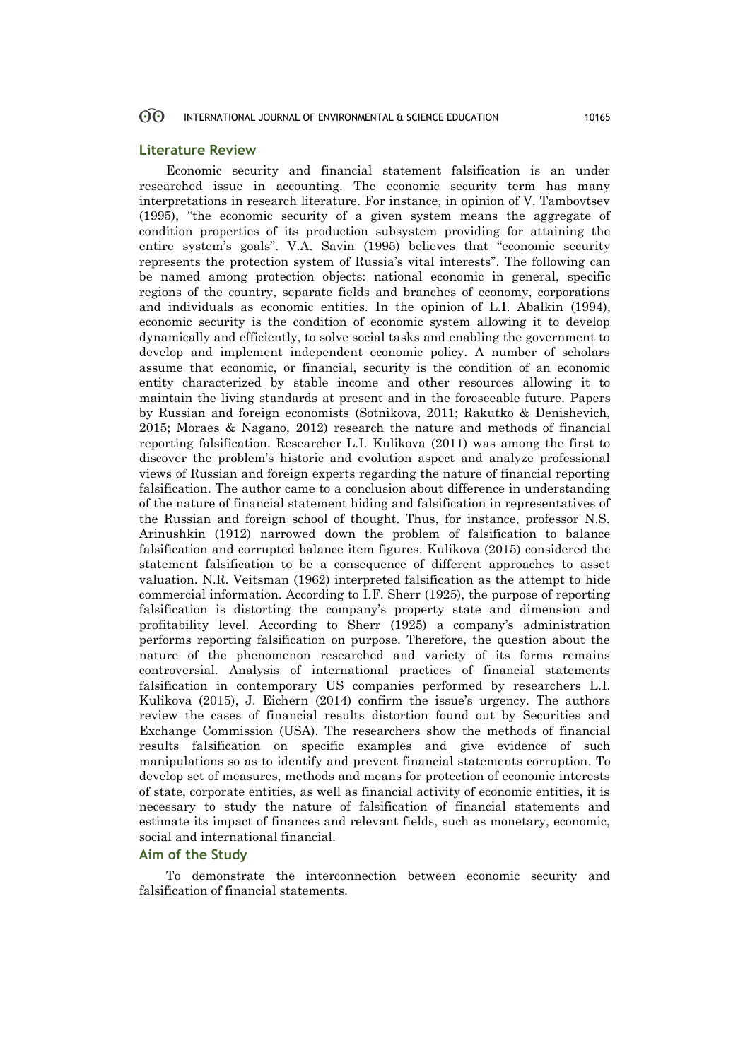### **Literature Review**

Economic security and financial statement falsification is an under researched issue in accounting. The economic security term has many interpretations in research literature. For instance, in opinion of V. Tambovtsev (1995), "the economic security of a given system means the aggregate of condition properties of its production subsystem providing for attaining the entire system's goals". V.A. Savin (1995) believes that "economic security represents the protection system of Russia's vital interests". The following can be named among protection objects: national economic in general, specific regions of the country, separate fields and branches of economy, corporations and individuals as economic entities. In the opinion of L.I. Abalkin (1994), economic security is the condition of economic system allowing it to develop dynamically and efficiently, to solve social tasks and enabling the government to develop and implement independent economic policy. A number of scholars assume that economic, or financial, security is the condition of an economic entity characterized by stable income and other resources allowing it to maintain the living standards at present and in the foreseeable future. Papers by Russian and foreign economists (Sotnikova, 2011; Rakutko & Denishevich, 2015; Moraes & Nagano, 2012) research the nature and methods of financial reporting falsification. Researcher L.I. Kulikova (2011) was among the first to discover the problem's historic and evolution aspect and analyze professional views of Russian and foreign experts regarding the nature of financial reporting falsification. The author came to a conclusion about difference in understanding of the nature of financial statement hiding and falsification in representatives of the Russian and foreign school of thought. Thus, for instance, professor N.S. Arinushkin (1912) narrowed down the problem of falsification to balance falsification and corrupted balance item figures. Kulikova (2015) considered the statement falsification to be a consequence of different approaches to asset valuation. N.R. Veitsman (1962) interpreted falsification as the attempt to hide commercial information. According to I.F. Sherr (1925), the purpose of reporting falsification is distorting the company's property state and dimension and profitability level. According to Sherr (1925) a company's administration performs reporting falsification on purpose. Therefore, the question about the nature of the phenomenon researched and variety of its forms remains controversial. Analysis of international practices of financial statements falsification in contemporary US companies performed by researchers L.I. Kulikova (2015), J. Eichern (2014) confirm the issue's urgency. The authors review the cases of financial results distortion found out by Securities and Exchange Commission (USA). The researchers show the methods of financial results falsification on specific examples and give evidence of such manipulations so as to identify and prevent financial statements corruption. To develop set of measures, methods and means for protection of economic interests of state, corporate entities, as well as financial activity of economic entities, it is necessary to study the nature of falsification of financial statements and estimate its impact of finances and relevant fields, such as monetary, economic, social and international financial.

## **Aim of the Study**

To demonstrate the interconnection between economic security and falsification of financial statements.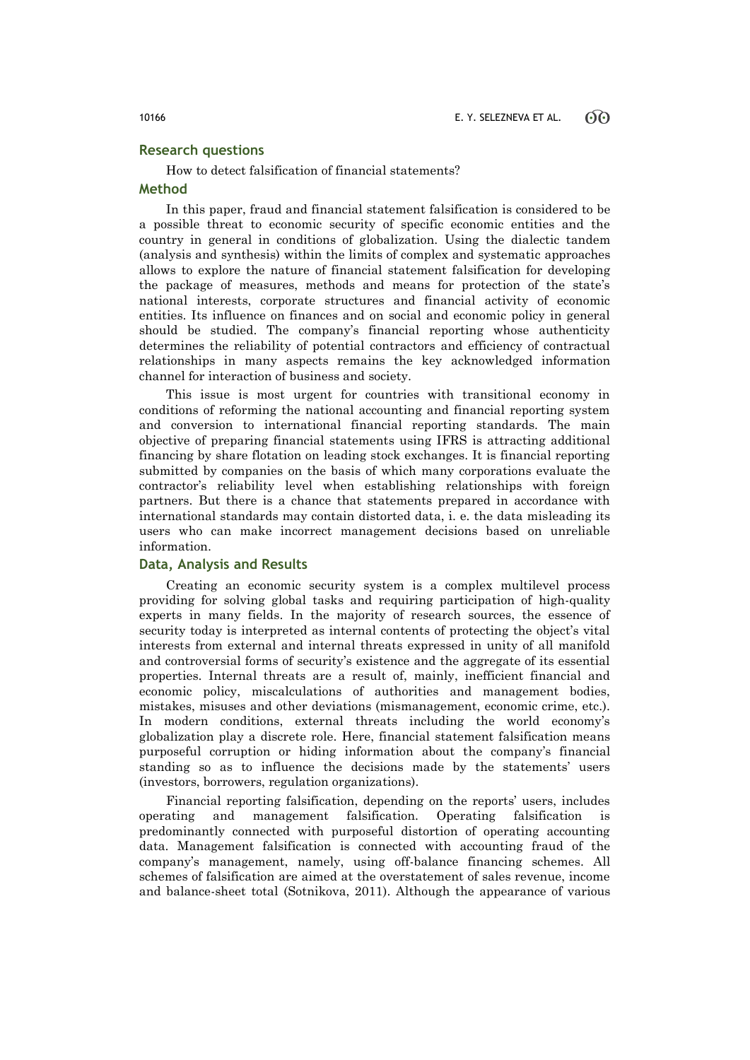## **Research questions**

How to detect falsification of financial statements?

## **Method**

In this paper, fraud and financial statement falsification is considered to be a possible threat to economic security of specific economic entities and the country in general in conditions of globalization. Using the dialectic tandem (analysis and synthesis) within the limits of complex and systematic approaches allows to explore the nature of financial statement falsification for developing the package of measures, methods and means for protection of the state's national interests, corporate structures and financial activity of economic entities. Its influence on finances and on social and economic policy in general should be studied. The company's financial reporting whose authenticity determines the reliability of potential contractors and efficiency of contractual relationships in many aspects remains the key acknowledged information channel for interaction of business and society.

This issue is most urgent for countries with transitional economy in conditions of reforming the national accounting and financial reporting system and conversion to international financial reporting standards. The main objective of preparing financial statements using IFRS is attracting additional financing by share flotation on leading stock exchanges. It is financial reporting submitted by companies on the basis of which many corporations evaluate the contractor's reliability level when establishing relationships with foreign partners. But there is a chance that statements prepared in accordance with international standards may contain distorted data, i. e. the data misleading its users who can make incorrect management decisions based on unreliable information.

### **Data, Analysis and Results**

Creating an economic security system is a complex multilevel process providing for solving global tasks and requiring participation of high-quality experts in many fields. In the majority of research sources, the essence of security today is interpreted as internal contents of protecting the object's vital interests from external and internal threats expressed in unity of all manifold and controversial forms of security's existence and the aggregate of its essential properties. Internal threats are a result of, mainly, inefficient financial and economic policy, miscalculations of authorities and management bodies, mistakes, misuses and other deviations (mismanagement, economic crime, etc.). In modern conditions, external threats including the world economy's globalization play a discrete role. Here, financial statement falsification means purposeful corruption or hiding information about the company's financial standing so as to influence the decisions made by the statements' users (investors, borrowers, regulation organizations).

Financial reporting falsification, depending on the reports' users, includes operating and management falsification. Operating falsification is predominantly connected with purposeful distortion of operating accounting data. Management falsification is connected with accounting fraud of the company's management, namely, using off-balance financing schemes. All schemes of falsification are aimed at the overstatement of sales revenue, income and balance-sheet total (Sotnikova, 2011). Although the appearance of various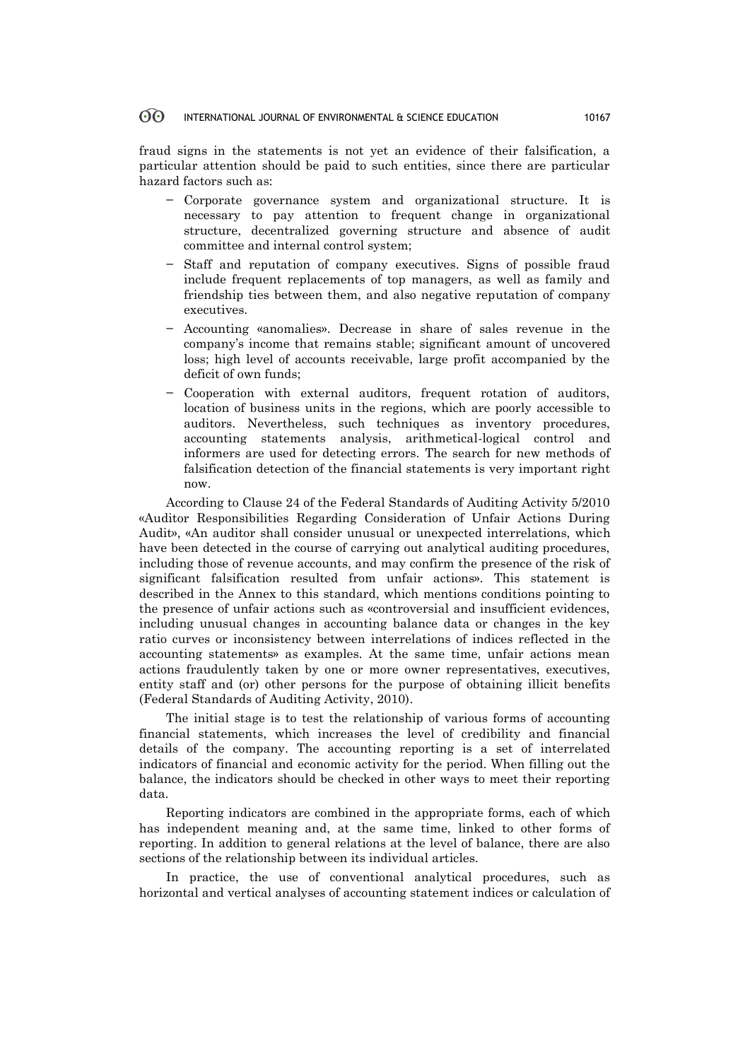fraud signs in the statements is not yet an evidence of their falsification, a particular attention should be paid to such entities, since there are particular hazard factors such as:

- − Corporate governance system and organizational structure. It is necessary to pay attention to frequent change in organizational structure, decentralized governing structure and absence of audit committee and internal control system;
- Staff and reputation of company executives. Signs of possible fraud include frequent replacements of top managers, as well as family and friendship ties between them, and also negative reputation of company executives.
- − Accounting «anomalies». Decrease in share of sales revenue in the company's income that remains stable; significant amount of uncovered loss; high level of accounts receivable, large profit accompanied by the deficit of own funds;
- − Cooperation with external auditors, frequent rotation of auditors, location of business units in the regions, which are poorly accessible to auditors. Nevertheless, such techniques as inventory procedures, accounting statements analysis, arithmetical-logical control and informers are used for detecting errors. The search for new methods of falsification detection of the financial statements is very important right now.

According to Clause 24 of the Federal Standards of Auditing Activity 5/2010 «Auditor Responsibilities Regarding Consideration of Unfair Actions During Audit», «An auditor shall consider unusual or unexpected interrelations, which have been detected in the course of carrying out analytical auditing procedures, including those of revenue accounts, and may confirm the presence of the risk of significant falsification resulted from unfair actions». This statement is described in the Annex to this standard, which mentions conditions pointing to the presence of unfair actions such as «controversial and insufficient evidences, including unusual changes in accounting balance data or changes in the key ratio curves or inconsistency between interrelations of indices reflected in the accounting statements» as examples. At the same time, unfair actions mean actions fraudulently taken by one or more owner representatives, executives, entity staff and (or) other persons for the purpose of obtaining illicit benefits (Federal Standards of Auditing Activity, 2010).

The initial stage is to test the relationship of various forms of accounting financial statements, which increases the level of credibility and financial details of the company. The accounting reporting is a set of interrelated indicators of financial and economic activity for the period. When filling out the balance, the indicators should be checked in other ways to meet their reporting data.

Reporting indicators are combined in the appropriate forms, each of which has independent meaning and, at the same time, linked to other forms of reporting. In addition to general relations at the level of balance, there are also sections of the relationship between its individual articles.

In practice, the use of conventional analytical procedures, such as horizontal and vertical analyses of accounting statement indices or calculation of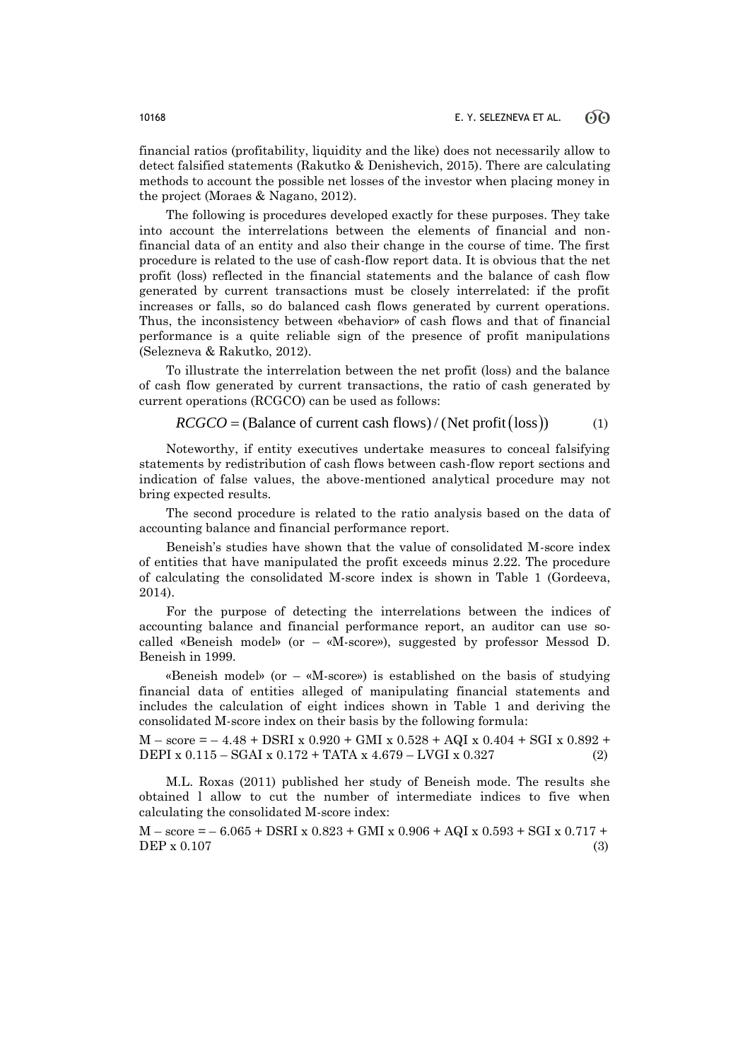financial ratios (profitability, liquidity and the like) does not necessarily allow to detect falsified statements (Rakutko & Denishevich, 2015). There are calculating methods to account the possible net losses of the investor when placing money in the project (Moraes & Nagano, 2012).

The following is procedures developed exactly for these purposes. They take into account the interrelations between the elements of financial and nonfinancial data of an entity and also their change in the course of time. The first procedure is related to the use of cash-flow report data. It is obvious that the net profit (loss) reflected in the financial statements and the balance of cash flow generated by current transactions must be closely interrelated: if the profit increases or falls, so do balanced cash flows generated by current operations. Thus, the inconsistency between «behavior» of cash flows and that of financial performance is a quite reliable sign of the presence of profit manipulations (Selezneva & Rakutko, 2012).

To illustrate the interrelation between the net profit (loss) and the balance of cash flow generated by current transactions, the ratio of cash generated by current operations (RCGCO) can be used as follows:

$$
RCGCO = (Balance of current cash flows) / (Net profit (loss))
$$
 (1)

Noteworthy, if entity executives undertake measures to conceal falsifying statements by redistribution of cash flows between cash-flow report sections and indication of false values, the above-mentioned analytical procedure may not bring expected results.

The second procedure is related to the ratio analysis based on the data of accounting balance and financial performance report.

Beneish's studies have shown that the value of consolidated M-score index of entities that have manipulated the profit exceeds minus 2.22. The procedure of calculating the consolidated M-score index is shown in Table 1 (Gordeeva, 2014).

For the purpose of detecting the interrelations between the indices of accounting balance and financial performance report, an auditor can use socalled «Beneish model» (or – «M-score»), suggested by professor Messod D. Beneish in 1999.

«Beneish model» (or  $-$  «M-score») is established on the basis of studying financial data of entities alleged of manipulating financial statements and includes the calculation of eight indices shown in Table 1 and deriving the consolidated M-score index on their basis by the following formula:

 $M - score = -4.48 + DSRI x 0.920 + GMI x 0.528 + AQI x 0.404 + SGI x 0.892 +$ DEPI x 0.115 – SGAI x 0.172 + TATA x 4.679 – LVGI x 0.327 (2)

M.L. Roxas (2011) published her study of Beneish mode. The results she obtained l allow to cut the number of intermediate indices to five when calculating the consolidated M-score index:

 $M - score = -6.065 + DSRI x 0.823 + GMI x 0.906 + AQI x 0.593 + SGI x 0.717 +$  $\text{DEP} \times 0.107$  (3)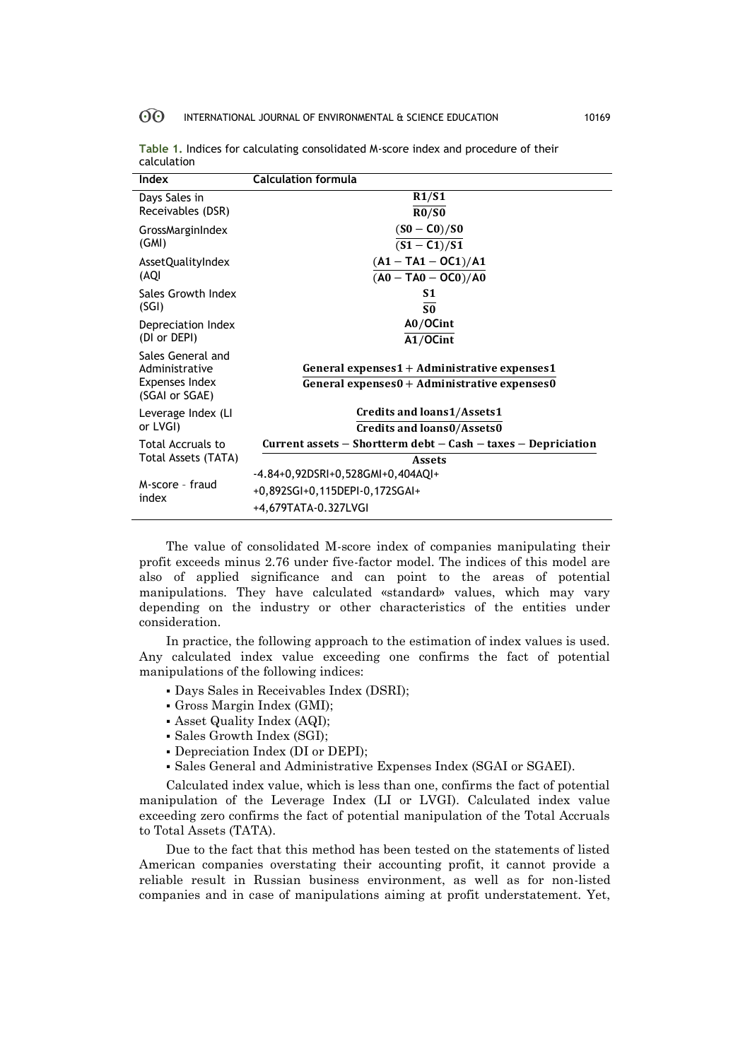| Index                                    | <b>Calculation formula</b>                                            |  |  |
|------------------------------------------|-----------------------------------------------------------------------|--|--|
| Days Sales in                            | R1/S1                                                                 |  |  |
| Receivables (DSR)                        | R0/S0                                                                 |  |  |
| GrossMarginIndex                         | $(S0 - C0)/S0$                                                        |  |  |
| (GMI)                                    | $(S1 - C1)/S1$                                                        |  |  |
| AssetQualityIndex                        | $(A1 - TA1 - OC1)/A1$                                                 |  |  |
| (AQI                                     | $(A0 - TAO - OC0)/AO$                                                 |  |  |
| Sales Growth Index                       | S1                                                                    |  |  |
| (SGI)                                    | S <sub>0</sub>                                                        |  |  |
| Depreciation Index<br>(DI or DEPI)       | $A0/OC$ int                                                           |  |  |
|                                          | $A1/OC$ int                                                           |  |  |
| Sales General and                        |                                                                       |  |  |
| Administrative                           | General expenses $1 +$ Administrative expenses1                       |  |  |
| Expenses Index<br>(SGAI or SGAE)         | General expenses $0 +$ Administrative expenses $0$                    |  |  |
| Leverage Index (LI<br>or LVGI)           | Credits and loans1/Assets1                                            |  |  |
|                                          | Credits and loans0/Assets0                                            |  |  |
| Total Accruals to<br>Total Assets (TATA) | Current assets $-$ Shortterm debt $-$ Cash $-$ taxes $-$ Depriciation |  |  |
|                                          | <b>Assets</b>                                                         |  |  |
|                                          | $-4.84+0,92DSRI+0,528GMI+0,404AQI+$                                   |  |  |
| M-score - fraud<br>index                 | +0,892SGI+0,115DEPI-0,172SGAI+                                        |  |  |
|                                          | +4,679TATA-0.327LVGI                                                  |  |  |

| Table 1. Indices for calculating consolidated M-score index and procedure of their |  |
|------------------------------------------------------------------------------------|--|
| calculation                                                                        |  |

The value of consolidated M-score index of companies manipulating their profit exceeds minus 2.76 under five-factor model. The indices of this model are also of applied significance and can point to the areas of potential manipulations. They have calculated «standard» values, which may vary depending on the industry or other characteristics of the entities under consideration.

In practice, the following approach to the estimation of index values is used. Any calculated index value exceeding one confirms the fact of potential manipulations of the following indices:

- Days Sales in Receivables Index (DSRI);
- Gross Margin Index (GMI);
- Asset Quality Index (AQI);
- Sales Growth Index (SGI);
- Depreciation Index (DI or DEPI);
- Sales General and Administrative Expenses Index (SGAI or SGAEI).

Calculated index value, which is less than one, confirms the fact of potential manipulation of the Leverage Index (LI or LVGI). Calculated index value exceeding zero confirms the fact of potential manipulation of the Total Accruals to Total Assets (TATA).

Due to the fact that this method has been tested on the statements of listed American companies overstating their accounting profit, it cannot provide a reliable result in Russian business environment, as well as for non-listed companies and in case of manipulations aiming at profit understatement. Yet,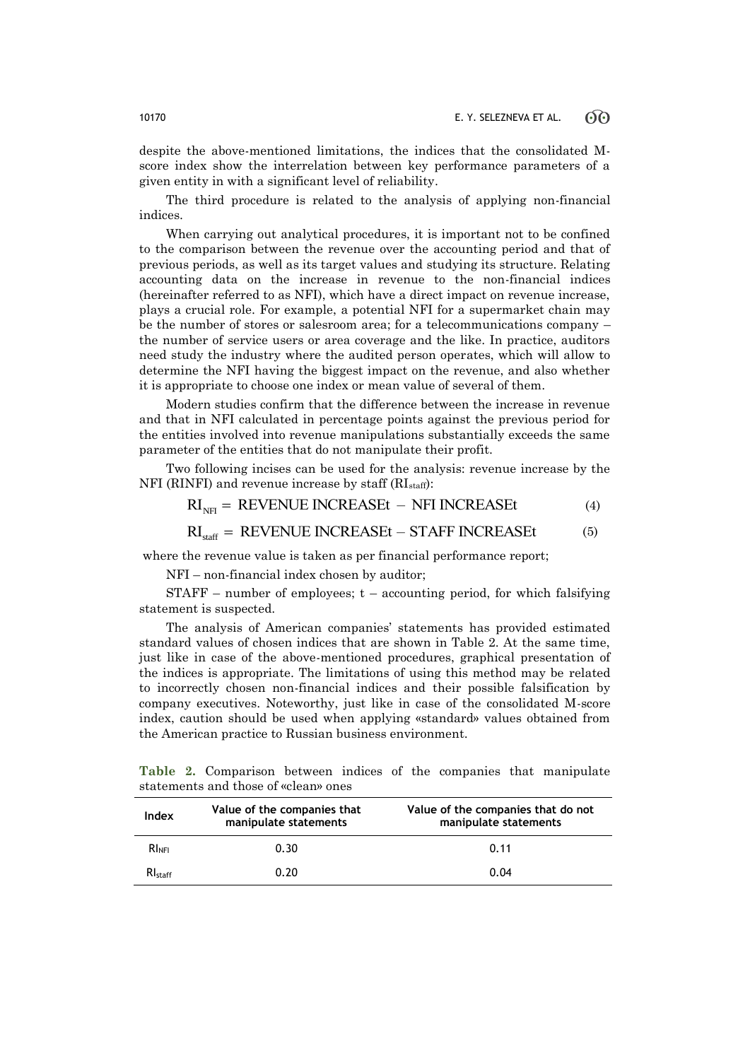despite the above-mentioned limitations, the indices that the consolidated Mscore index show the interrelation between key performance parameters of a given entity in with a significant level of reliability.

The third procedure is related to the analysis of applying non-financial indices.

When carrying out analytical procedures, it is important not to be confined to the comparison between the revenue over the accounting period and that of previous periods, as well as its target values and studying its structure. Relating accounting data on the increase in revenue to the non-financial indices (hereinafter referred to as NFI), which have a direct impact on revenue increase, plays a crucial role. For example, a potential NFI for a supermarket chain may be the number of stores or salesroom area; for a telecommunications company – the number of service users or area coverage and the like. In practice, auditors need study the industry where the audited person operates, which will allow to determine the NFI having the biggest impact on the revenue, and also whether it is appropriate to choose one index or mean value of several of them.

Modern studies confirm that the difference between the increase in revenue and that in NFI calculated in percentage points against the previous period for the entities involved into revenue manipulations substantially exceeds the same parameter of the entities that do not manipulate their profit.

Two following incises can be used for the analysis: revenue increase by the NFI (RINFI) and revenue increase by staff ( $RI<sub>staff</sub>$ ):<br> $RI<sub>NFI</sub> = REVENUE INCREASEt - NFI INCREASEt$  (4) NFI (RINFI) and revenue increase by staff  $(RI<sub>staff</sub>)$ :

$$
RI_{\text{NH}} = REVENUE INCREASEt - NFI INCREASEt \tag{4}
$$

$$
RI_{\text{NFI}} = REVENUE INCREASEt - NFI INCREASEt
$$
 (4)  
\n
$$
RI_{\text{NFI}} = REVENUE INCREASEt - STAFF INCREASEt
$$
 (5)

where the revenue value is taken as per financial performance report;

NFI – non-financial index chosen by auditor;

 $STAFF$  – number of employees;  $t$  – accounting period, for which falsifying statement is suspected.

The analysis of American companies' statements has provided estimated standard values of chosen indices that are shown in Table 2. At the same time, just like in case of the above-mentioned procedures, graphical presentation of the indices is appropriate. The limitations of using this method may be related to incorrectly chosen non-financial indices and their possible falsification by company executives. Noteworthy, just like in case of the consolidated M-score index, caution should be used when applying «standard» values obtained from the American practice to Russian business environment.

**Table 2.** Comparison between indices of the companies that manipulate statements and those of «clean» ones

| Index               | Value of the companies that<br>manipulate statements | Value of the companies that do not<br>manipulate statements |
|---------------------|------------------------------------------------------|-------------------------------------------------------------|
| $RI_{\text{NFI}}$   | 0.30                                                 | 0.11                                                        |
| $Rl_{\text{staff}}$ | 0.20                                                 | 0.04                                                        |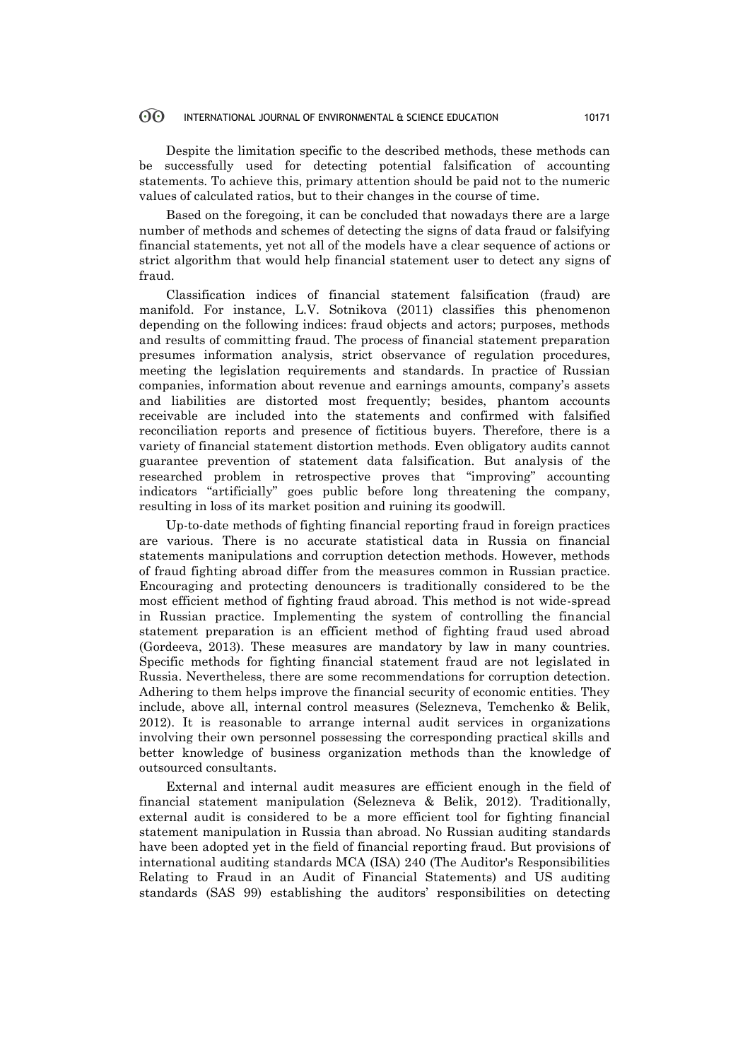Despite the limitation specific to the described methods, these methods can be successfully used for detecting potential falsification of accounting statements. To achieve this, primary attention should be paid not to the numeric values of calculated ratios, but to their changes in the course of time.

Based on the foregoing, it can be concluded that nowadays there are a large number of methods and schemes of detecting the signs of data fraud or falsifying financial statements, yet not all of the models have a clear sequence of actions or strict algorithm that would help financial statement user to detect any signs of fraud.

Classification indices of financial statement falsification (fraud) are manifold. For instance, L.V. Sotnikova (2011) classifies this phenomenon depending on the following indices: fraud objects and actors; purposes, methods and results of committing fraud. The process of financial statement preparation presumes information analysis, strict observance of regulation procedures, meeting the legislation requirements and standards. In practice of Russian companies, information about revenue and earnings amounts, company's assets and liabilities are distorted most frequently; besides, phantom accounts receivable are included into the statements and confirmed with falsified reconciliation reports and presence of fictitious buyers. Therefore, there is a variety of financial statement distortion methods. Even obligatory audits cannot guarantee prevention of statement data falsification. But analysis of the researched problem in retrospective proves that "improving" accounting indicators "artificially" goes public before long threatening the company, resulting in loss of its market position and ruining its goodwill.

Up-to-date methods of fighting financial reporting fraud in foreign practices are various. There is no accurate statistical data in Russia on financial statements manipulations and corruption detection methods. However, methods of fraud fighting abroad differ from the measures common in Russian practice. Encouraging and protecting denouncers is traditionally considered to be the most efficient method of fighting fraud abroad. This method is not wide-spread in Russian practice. Implementing the system of controlling the financial statement preparation is an efficient method of fighting fraud used abroad (Gordeeva, 2013). These measures are mandatory by law in many countries. Specific methods for fighting financial statement fraud are not legislated in Russia. Nevertheless, there are some recommendations for corruption detection. Adhering to them helps improve the financial security of economic entities. They include, above all, internal control measures (Selezneva, Temchenko & Belik, 2012). It is reasonable to arrange internal audit services in organizations involving their own personnel possessing the corresponding practical skills and better knowledge of business organization methods than the knowledge of outsourced consultants.

External and internal audit measures are efficient enough in the field of financial statement manipulation (Selezneva & Belik, 2012). Traditionally, external audit is considered to be a more efficient tool for fighting financial statement manipulation in Russia than abroad. No Russian auditing standards have been adopted yet in the field of financial reporting fraud. But provisions of international auditing standards МСА (ISA) 240 (The Auditor's Responsibilities Relating to Fraud in an Audit of Financial Statements) and US auditing standards (SAS 99) establishing the auditors' responsibilities on detecting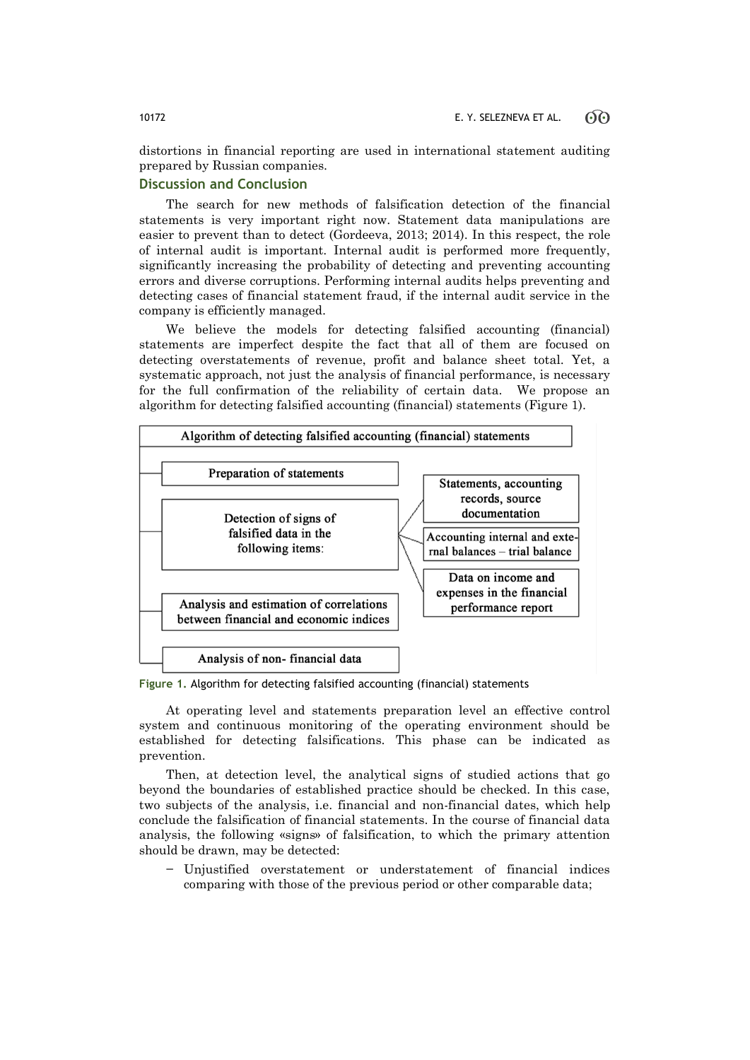distortions in financial reporting are used in international statement auditing prepared by Russian companies.

## **Discussion and Conclusion**

The search for new methods of falsification detection of the financial statements is very important right now. Statement data manipulations are easier to prevent than to detect (Gordeeva, 2013; 2014). In this respect, the role of internal audit is important. Internal audit is performed more frequently, significantly increasing the probability of detecting and preventing accounting errors and diverse corruptions. Performing internal audits helps preventing and detecting cases of financial statement fraud, if the internal audit service in the company is efficiently managed.

We believe the models for detecting falsified accounting (financial) statements are imperfect despite the fact that all of them are focused on detecting overstatements of revenue, profit and balance sheet total. Yet, a systematic approach, not just the analysis of financial performance, is necessary for the full confirmation of the reliability of certain data. We propose an algorithm for detecting falsified accounting (financial) statements (Figure 1).



**Figure 1.** Algorithm for detecting falsified accounting (financial) statements

At operating level and statements preparation level an effective control system and continuous monitoring of the operating environment should be established for detecting falsifications. This phase can be indicated as prevention.

Then, at detection level, the analytical signs of studied actions that go beyond the boundaries of established practice should be checked. In this case, two subjects of the analysis, i.e. financial and non-financial dates, which help conclude the falsification of financial statements. In the course of financial data analysis, the following «signs» of falsification, to which the primary attention should be drawn, may be detected:

− Unjustified overstatement or understatement of financial indices comparing with those of the previous period or other comparable data;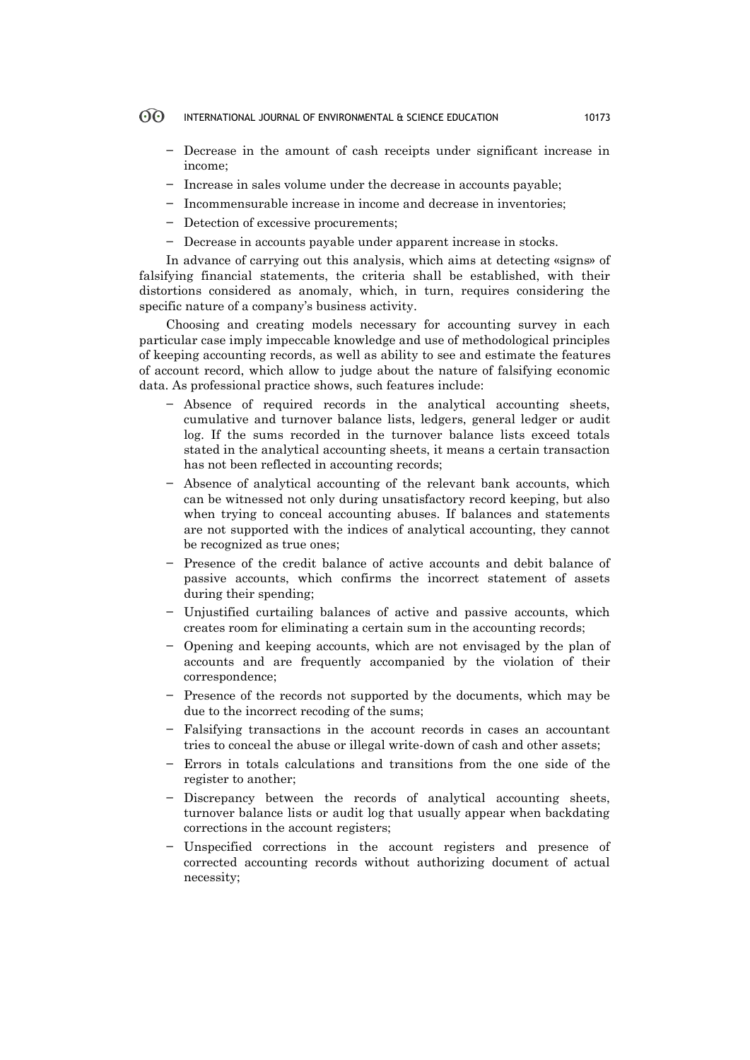- $\Theta$ INTERNATIONAL JOURNAL OF ENVIRONMENTAL & SCIENCE EDUCATION 10173
	- − Decrease in the amount of cash receipts under significant increase in income;
	- − Increase in sales volume under the decrease in accounts payable;
	- − Incommensurable increase in income and decrease in inventories;
	- − Detection of excessive procurements;
	- − Decrease in accounts payable under apparent increase in stocks.

In advance of carrying out this analysis, which aims at detecting «signs» of falsifying financial statements, the criteria shall be established, with their distortions considered as anomaly, which, in turn, requires considering the specific nature of a company's business activity.

Choosing and creating models necessary for accounting survey in each particular case imply impeccable knowledge and use of methodological principles of keeping accounting records, as well as ability to see and estimate the features of account record, which allow to judge about the nature of falsifying economic data. As professional practice shows, such features include:

- − Absence of required records in the analytical accounting sheets, cumulative and turnover balance lists, ledgers, general ledger or audit log. If the sums recorded in the turnover balance lists exceed totals stated in the analytical accounting sheets, it means a certain transaction has not been reflected in accounting records;
- − Absence of analytical accounting of the relevant bank accounts, which can be witnessed not only during unsatisfactory record keeping, but also when trying to conceal accounting abuses. If balances and statements are not supported with the indices of analytical accounting, they cannot be recognized as true ones;
- Presence of the credit balance of active accounts and debit balance of passive accounts, which confirms the incorrect statement of assets during their spending;
- − Unjustified curtailing balances of active and passive accounts, which creates room for eliminating a certain sum in the accounting records;
- − Opening and keeping accounts, which are not envisaged by the plan of accounts and are frequently accompanied by the violation of their correspondence;
- − Presence of the records not supported by the documents, which may be due to the incorrect recoding of the sums;
- − Falsifying transactions in the account records in cases an accountant tries to conceal the abuse or illegal write-down of cash and other assets;
- Errors in totals calculations and transitions from the one side of the register to another;
- − Discrepancy between the records of analytical accounting sheets, turnover balance lists or audit log that usually appear when backdating corrections in the account registers;
- − Unspecified corrections in the account registers and presence of corrected accounting records without authorizing document of actual necessity;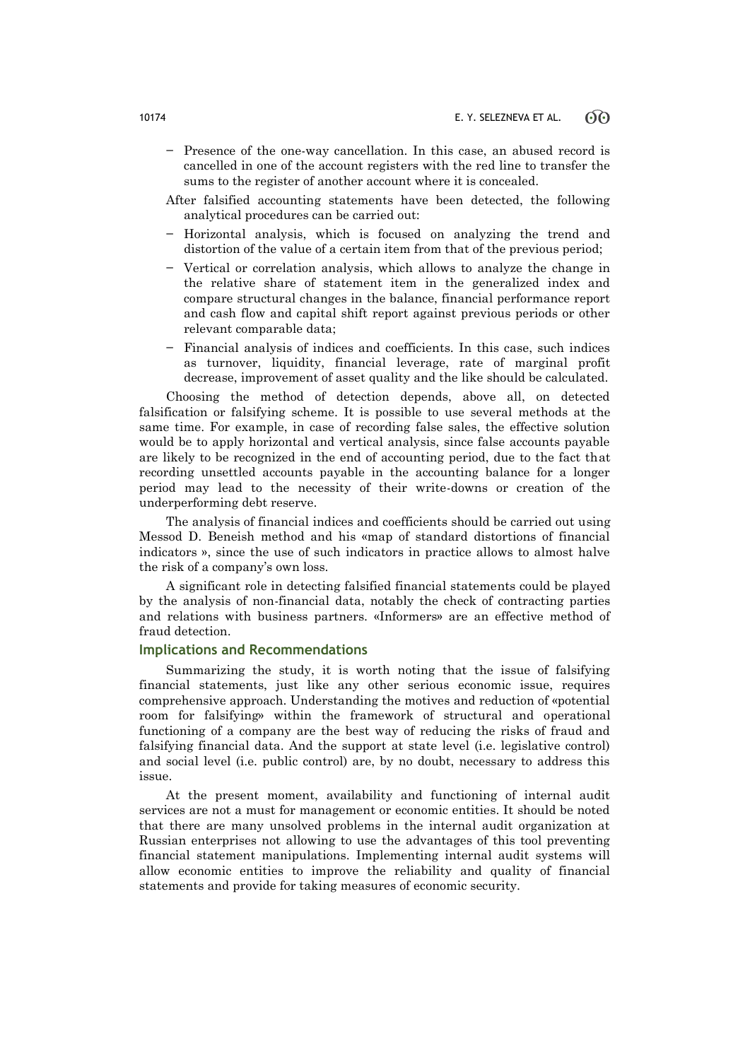- − Presence of the one-way cancellation. In this case, an abused record is cancelled in one of the account registers with the red line to transfer the sums to the register of another account where it is concealed.
- After falsified accounting statements have been detected, the following analytical procedures can be carried out:
- − Horizontal analysis, which is focused on analyzing the trend and distortion of the value of a certain item from that of the previous period;
- − Vertical or correlation analysis, which allows to analyze the change in the relative share of statement item in the generalized index and compare structural changes in the balance, financial performance report and cash flow and capital shift report against previous periods or other relevant comparable data;
- − Financial analysis of indices and coefficients. In this case, such indices as turnover, liquidity, financial leverage, rate of marginal profit decrease, improvement of asset quality and the like should be calculated.

Choosing the method of detection depends, above all, on detected falsification or falsifying scheme. It is possible to use several methods at the same time. For example, in case of recording false sales, the effective solution would be to apply horizontal and vertical analysis, since false accounts payable are likely to be recognized in the end of accounting period, due to the fact that recording unsettled accounts payable in the accounting balance for a longer period may lead to the necessity of their write-downs or creation of the underperforming debt reserve.

The analysis of financial indices and coefficients should be carried out using Messod D. Beneish method and his «map of standard distortions of financial indicators », since the use of such indicators in practice allows to almost halve the risk of a company's own loss.

A significant role in detecting falsified financial statements could be played by the analysis of non-financial data, notably the check of contracting parties and relations with business partners. «Informers» are an effective method of fraud detection.

### **Implications and Recommendations**

Summarizing the study, it is worth noting that the issue of falsifying financial statements, just like any other serious economic issue, requires comprehensive approach. Understanding the motives and reduction of «potential room for falsifying» within the framework of structural and operational functioning of a company are the best way of reducing the risks of fraud and falsifying financial data. And the support at state level (i.e. legislative control) and social level (i.e. public control) are, by no doubt, necessary to address this issue.

At the present moment, availability and functioning of internal audit services are not a must for management or economic entities. It should be noted that there are many unsolved problems in the internal audit organization at Russian enterprises not allowing to use the advantages of this tool preventing financial statement manipulations. Implementing internal audit systems will allow economic entities to improve the reliability and quality of financial statements and provide for taking measures of economic security.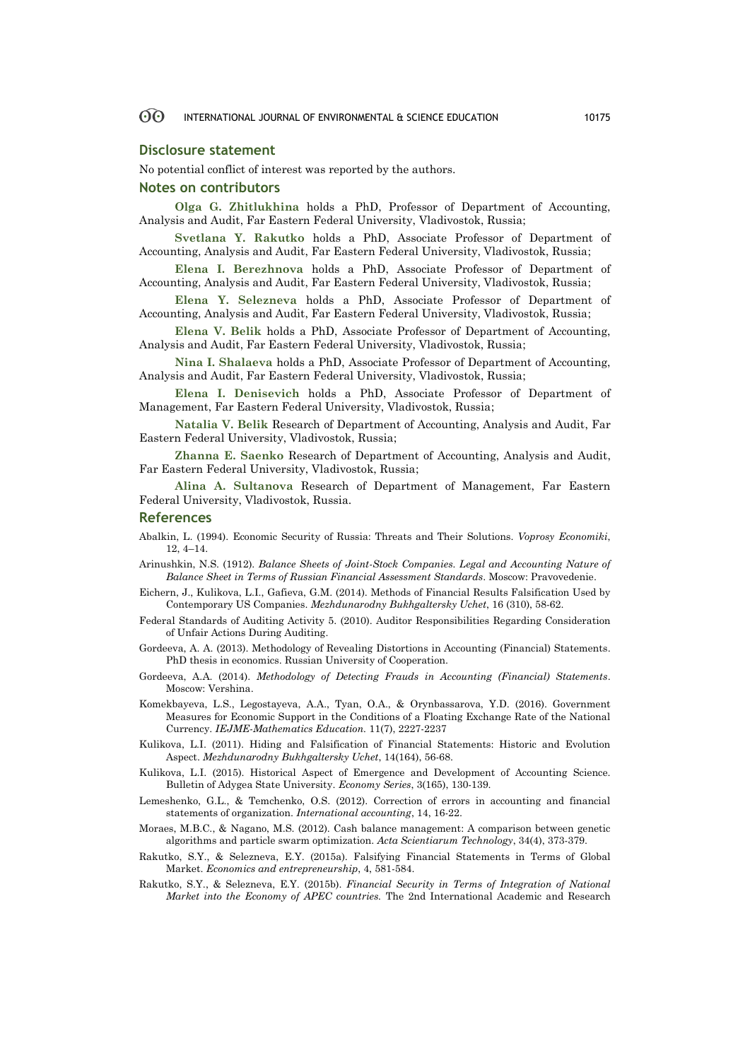### **Disclosure statement**

No potential conflict of interest was reported by the authors.

### **Notes on contributors**

**Olga G. Zhitlukhina** holds a PhD, Professor of Department of Accounting, Analysis and Audit, Far Eastern Federal University, Vladivostok, Russia;

**Svetlana Y. Rakutko** holds a PhD, Associate Professor of Department of Accounting, Analysis and Audit, Far Eastern Federal University, Vladivostok, Russia;

**Elena I. Berezhnova** holds a PhD, Associate Professor of Department of Accounting, Analysis and Audit, Far Eastern Federal University, Vladivostok, Russia;

**Elena Y. Selezneva** holds a PhD, Associate Professor of Department of Accounting, Analysis and Audit, Far Eastern Federal University, Vladivostok, Russia;

**Elena V. Belik** holds a PhD, Associate Professor of Department of Accounting, Analysis and Audit, Far Eastern Federal University, Vladivostok, Russia;

**Nina I. Shalaeva** holds a PhD, Associate Professor of Department of Accounting, Analysis and Audit, Far Eastern Federal University, Vladivostok, Russia;

**Elena I. Denisevich** holds a PhD, Associate Professor of Department of Management, Far Eastern Federal University, Vladivostok, Russia;

**Natalia V. Belik** Research of Department of Accounting, Analysis and Audit, Far Eastern Federal University, Vladivostok, Russia;

**Zhanna E. Saenko** Research of Department of Accounting, Analysis and Audit, Far Eastern Federal University, Vladivostok, Russia;

**Alina A. Sultanova** Research of Department of Management, Far Eastern Federal University, Vladivostok, Russia.

### **References**

- Abalkin, L. (1994). Economic Security of Russia: Threats and Their Solutions. *Voprosy Economiki*, 12, 4–14.
- Arinushkin, N.S. (1912). *Balance Sheets of Joint-Stock Companies. Legal and Accounting Nature of Balance Sheet in Terms of Russian Financial Assessment Standards*. Moscow: Pravovedenie.
- Eichern, J., Kulikova, L.I., Gafieva, G.M. (2014). Methods of Financial Results Falsification Used by Contemporary US Companies. *Mezhdunarodny Bukhgaltersky Uchet*, 16 (310), 58-62.
- Federal Standards of Auditing Activity 5. (2010). Auditor Responsibilities Regarding Consideration of Unfair Actions During Auditing.
- Gordeeva, A. A. (2013). Methodology of Revealing Distortions in Accounting (Financial) Statements. PhD thesis in economics. Russian University of Cooperation.
- Gordeeva, А.А. (2014). *Methodology of Detecting Frauds in Accounting (Financial) Statements*. Moscow: Vershina.
- Komekbayeva, L.S., Legostayeva, A.A., Tyan, O.A., & Orynbassarova, Y.D. (2016). Government Measures for Economic Support in the Conditions of a Floating Exchange Rate of the National Currency. *IEJME-Mathematics Education.* 11(7), 2227-2237
- Kulikova, L.I. (2011). Hiding and Falsification of Financial Statements: Historic and Evolution Aspect. *Mezhdunarodny Bukhgaltersky Uchet*, 14(164), 56-68.
- Kulikova, L.I. (2015). Historical Aspect of Emergence and Development of Accounting Science. Bulletin of Adygea State University. *Economy Series*, 3(165), 130-139.
- Lemeshenko, G.L., & Temchenko, O.S. (2012). Correction of errors in accounting and financial statements of organization. *International accounting*, 14, 16-22.
- Moraes, M.B.C., & Nagano, M.S. (2012). Cash balance management: A comparison between genetic algorithms and particle swarm optimization. *Acta Scientiarum Technology*, 34(4), 373-379.
- Rakutko, S.Y., & Selezneva, E.Y. (2015a). Falsifying Financial Statements in Terms of Global Market. *Economics and entrepreneurship*, 4, 581-584.
- Rakutko, S.Y., & Selezneva, E.Y. (2015b). *Financial Security in Terms of Integration of National Market into the Economy of APEC countries.* The 2nd International Academic and Research